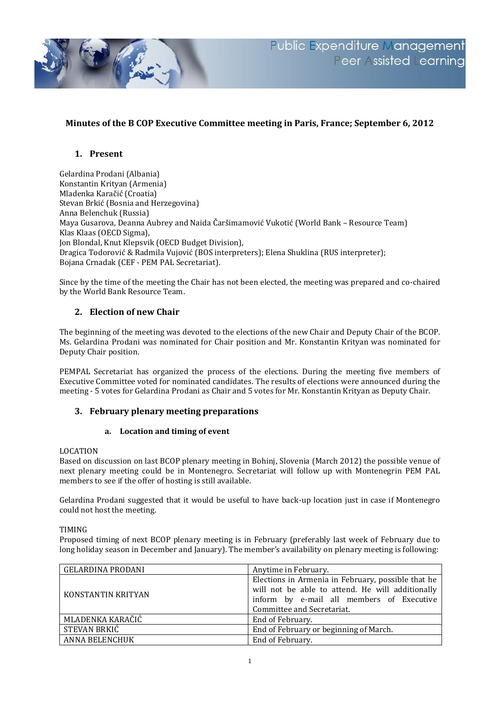

# **Minutes of the B COP Executive Committee meeting in Paris, France; September 6, 2012**

# **1. Present**

Gelardina Prodani (Albania) Konstantin Krityan (Armenia) Mladenka Karačić (Croatia) Stevan Brkić (Bosnia and Herzegovina) Anna Belenchuk (Russia) Maya Gusarova, Deanna Aubrey and Naida Čaršimamović Vukotić (World Bank – Resource Team) Klas Klaas (OECD Sigma), Jon Blondal, Knut Klepsvik (OECD Budget Division), Dragica Todorović & Radmila Vujović (BOS interpreters); Elena Shuklina (RUS interpreter); Bojana Crnadak (CEF - PEM PAL Secretariat).

Since by the time of the meeting the Chair has not been elected, the meeting was prepared and co-chaired by the World Bank Resource Team.

# **2. Election of new Chair**

The beginning of the meeting was devoted to the elections of the new Chair and Deputy Chair of the BCOP. Ms. Gelardina Prodani was nominated for Chair position and Mr. Konstantin Krityan was nominated for Deputy Chair position.

PEMPAL Secretariat has organized the process of the elections. During the meeting five members of Executive Committee voted for nominated candidates. The results of elections were announced during the meeting - 5 votes for Gelardina Prodani as Chair and 5 votes for Mr. Konstantin Krityan as Deputy Chair.

# **3. February plenary meeting preparations**

#### **a. Location and timing of event**

#### LOCATION

Based on discussion on last BCOP plenary meeting in Bohinj, Slovenia (March 2012) the possible venue of next plenary meeting could be in Montenegro. Secretariat will follow up with Montenegrin PEM PAL members to see if the offer of hosting is still available.

Gelardina Prodani suggested that it would be useful to have back-up location just in case if Montenegro could not host the meeting.

#### TIMING

Proposed timing of next BCOP plenary meeting is in February (preferably last week of February due to long holiday season in December and January). The member's availability on plenary meeting is following:

| <b>GELARDINA PRODANI</b> | Anytime in February.                                                                                                                                                              |
|--------------------------|-----------------------------------------------------------------------------------------------------------------------------------------------------------------------------------|
| KONSTANTIN KRITYAN       | Elections in Armenia in February, possible that he<br>will not be able to attend. He will additionally<br>inform by e-mail all members of Executive<br>Committee and Secretariat. |
| MLADENKA KARAČIĆ         | End of February.                                                                                                                                                                  |
| STEVAN BRKIĆ             | End of February or beginning of March.                                                                                                                                            |
| ANNA BELENCHUK           | End of February.                                                                                                                                                                  |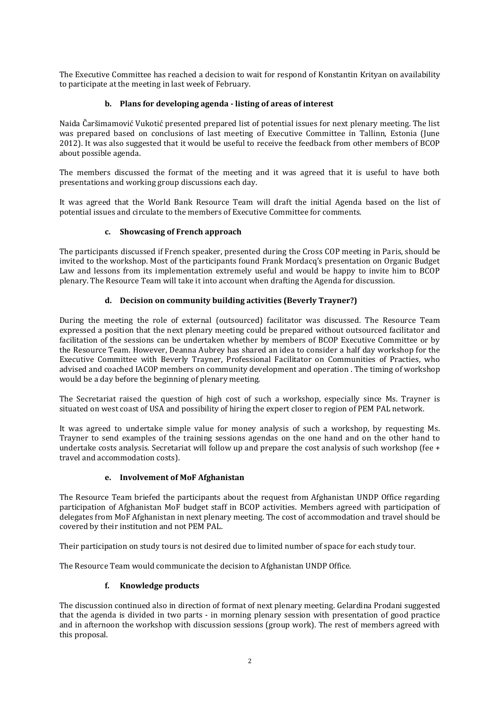The Executive Committee has reached a decision to wait for respond of Konstantin Krityan on availability to participate at the meeting in last week of February.

# **b. Plans for developing agenda - listing of areas of interest**

Naida Čaršimamović Vukotić presented prepared list of potential issues for next plenary meeting. The list was prepared based on conclusions of last meeting of Executive Committee in Tallinn, Estonia (June 2012). It was also suggested that it would be useful to receive the feedback from other members of BCOP about possible agenda.

The members discussed the format of the meeting and it was agreed that it is useful to have both presentations and working group discussions each day.

It was agreed that the World Bank Resource Team will draft the initial Agenda based on the list of potential issues and circulate to the members of Executive Committee for comments.

### **c. Showcasing of French approach**

The participants discussed if French speaker, presented during the Cross COP meeting in Paris, should be invited to the workshop. Most of the participants found Frank Mordacq's presentation on Organic Budget Law and lessons from its implementation extremely useful and would be happy to invite him to BCOP plenary. The Resource Team will take it into account when drafting the Agenda for discussion.

# **d. Decision on community building activities (Beverly Trayner?)**

During the meeting the role of external (outsourced) facilitator was discussed. The Resource Team expressed a position that the next plenary meeting could be prepared without outsourced facilitator and facilitation of the sessions can be undertaken whether by members of BCOP Executive Committee or by the Resource Team. However, Deanna Aubrey has shared an idea to consider a half day workshop for the Executive Committee with Beverly Trayner, Professional Facilitator on Communities of Practies, who advised and coached IACOP members on community development and operation . The timing of workshop would be a day before the beginning of plenary meeting.

The Secretariat raised the question of high cost of such a workshop, especially since Ms. Trayner is situated on west coast of USA and possibility of hiring the expert closer to region of PEM PAL network.

It was agreed to undertake simple value for money analysis of such a workshop, by requesting Ms. Trayner to send examples of the training sessions agendas on the one hand and on the other hand to undertake costs analysis. Secretariat will follow up and prepare the cost analysis of such workshop (fee + travel and accommodation costs).

#### **e. Involvement of MoF Afghanistan**

The Resource Team briefed the participants about the request from Afghanistan UNDP Office regarding participation of Afghanistan MoF budget staff in BCOP activities. Members agreed with participation of delegates from MoF Afghanistan in next plenary meeting. The cost of accommodation and travel should be covered by their institution and not PEM PAL.

Their participation on study tours is not desired due to limited number of space for each study tour.

The Resource Team would communicate the decision to Afghanistan UNDP Office.

# **f. Knowledge products**

The discussion continued also in direction of format of next plenary meeting. Gelardina Prodani suggested that the agenda is divided in two parts - in morning plenary session with presentation of good practice and in afternoon the workshop with discussion sessions (group work). The rest of members agreed with this proposal.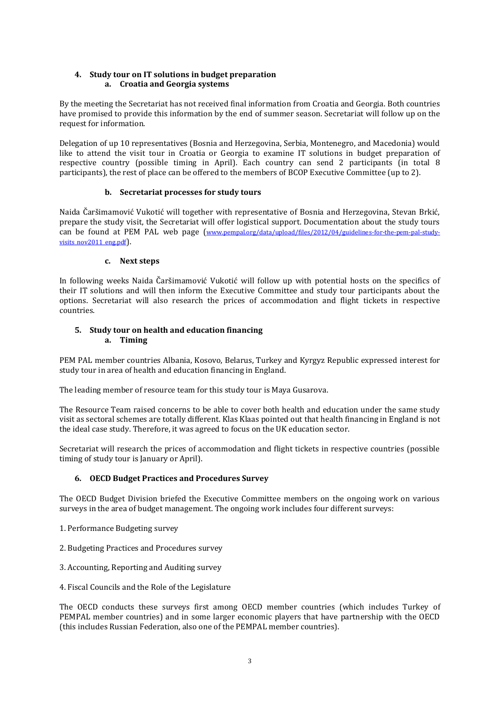#### **4. Study tour on IT solutions in budget preparation a. Croatia and Georgia systems**

By the meeting the Secretariat has not received final information from Croatia and Georgia. Both countries have promised to provide this information by the end of summer season. Secretariat will follow up on the request for information.

Delegation of up 10 representatives (Bosnia and Herzegovina, Serbia, Montenegro, and Macedonia) would like to attend the visit tour in Croatia or Georgia to examine IT solutions in budget preparation of respective country (possible timing in April). Each country can send 2 participants (in total 8 participants), the rest of place can be offered to the members of BCOP Executive Committee (up to 2).

### **b. Secretariat processes for study tours**

Naida Čaršimamović Vukotić will together with representative of Bosnia and Herzegovina, Stevan Brkić, prepare the study visit, the Secretariat will offer logistical support. Documentation about the study tours can be found at PEM PAL web page ([www.pempal.org/data/upload/files/2012/04/guidelines-for-the-pem-pal-study](http://www.pempal.org/data/upload/files/2012/04/guidelines-for-the-pem-pal-study-visits_nov2011_eng.pdf)visits nov2011 eng.pdf).

### **c. Next steps**

In following weeks Naida Čaršimamović Vukotić will follow up with potential hosts on the specifics of their IT solutions and will then inform the Executive Committee and study tour participants about the options. Secretariat will also research the prices of accommodation and flight tickets in respective countries.

### **5. Study tour on health and education financing a. Timing**

PEM PAL member countries Albania, Kosovo, Belarus, Turkey and Kyrgyz Republic expressed interest for study tour in area of health and education financing in England.

The leading member of resource team for this study tour is Maya Gusarova.

The Resource Team raised concerns to be able to cover both health and education under the same study visit as sectoral schemes are totally different. Klas Klaas pointed out that health financing in England is not the ideal case study. Therefore, it was agreed to focus on the UK education sector.

Secretariat will research the prices of accommodation and flight tickets in respective countries (possible timing of study tour is January or April).

# **6. OECD Budget Practices and Procedures Survey**

The OECD Budget Division briefed the Executive Committee members on the ongoing work on various surveys in the area of budget management. The ongoing work includes four different surveys:

- 1. Performance Budgeting survey
- 2. Budgeting Practices and Procedures survey
- 3. Accounting, Reporting and Auditing survey
- 4. Fiscal Councils and the Role of the Legislature

The OECD conducts these surveys first among OECD member countries (which includes Turkey of PEMPAL member countries) and in some larger economic players that have partnership with the OECD (this includes Russian Federation, also one of the PEMPAL member countries).